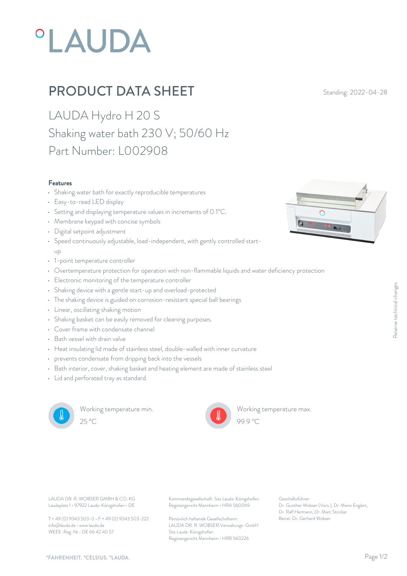# **°LAUDA**

## **PRODUCT DATA SHEET** Standing: 2022-04-28

LAUDA Hydro H 20 S Shaking water bath 230 V; 50/60 Hz Part Number: L002908

#### Features

- Shaking water bath for exactly reproducible temperatures
- Easy-to-read LED display
- Setting and displaying temperature values in increments of 0.1°C.
- Membrane keypad with concise symbols
- Digital setpoint adjustment
- Speed continuously adjustable, load-independent, with gently controlled startup and the state of the state of the state of the state of the state of the state of the state of the state of
- 1-point temperature controller
- Overtemperature protection for operation with non-flammable liquids and water deficiency protection
- Electronic monitoring of the temperature controller
- Shaking device with a gentle start-up and overload-protected
- The shaking device is guided on corrosion-resistant special ball bearings
- Linear, oscillating shaking motion
- Shaking basket can be easily removed for cleaning purposes.
- Cover frame with condensate channel
- Bath vessel with drain valve
- Heat insulating lid made of stainless steel, double-walled with inner curvature
- prevents condensate from dripping back into the vessels
- Bath interior, cover, shaking basket and heating element are made of stainless steel
- Lid and perforated tray as standard.



Working temperature min.  $25^{\circ}$ C 99.9 °C



Working temperature max. 99.9 °C

Laudaplatz 1 • 97922 Lauda-Königshofen • DE

T + 49 (0) 9343 503-0 • F + 49 (0) 9343 503-222 info@lauda.de • www.lauda.de WEEE-Reg-Nr.: DE 66 42 40 57

LAUDA DR. R. WOBSER GMBH & CO. KG Kommanditgesellschaft: Sitz Lauda-Königshofen Geschäftsführer: Registergericht Mannheim • HRA 560069

> Persönlich haftende Gesellschafterin: Beirat: Dr. Gerhard Wobse LAUDA DR. R. WOBSER Verwaltungs-GmbH Sitz Lauda-Königshofen Registergericht Mannheim • HRB 560226

Geschäftsführer: Dr. Gunther Wobser (Vors.), Dr. Mario Englert, Dr. Ralf Hermann, Dr. Marc Stricker Beschäftsführer:<br>Beischäftsführer:<br>Dr. Gunther Wobser (Vors.), Dr. Mario Englert,<br>Dr. Ralf Hermann, Dr. Marc Stricker<br>Beirat: Dr. Gerhard Wobser